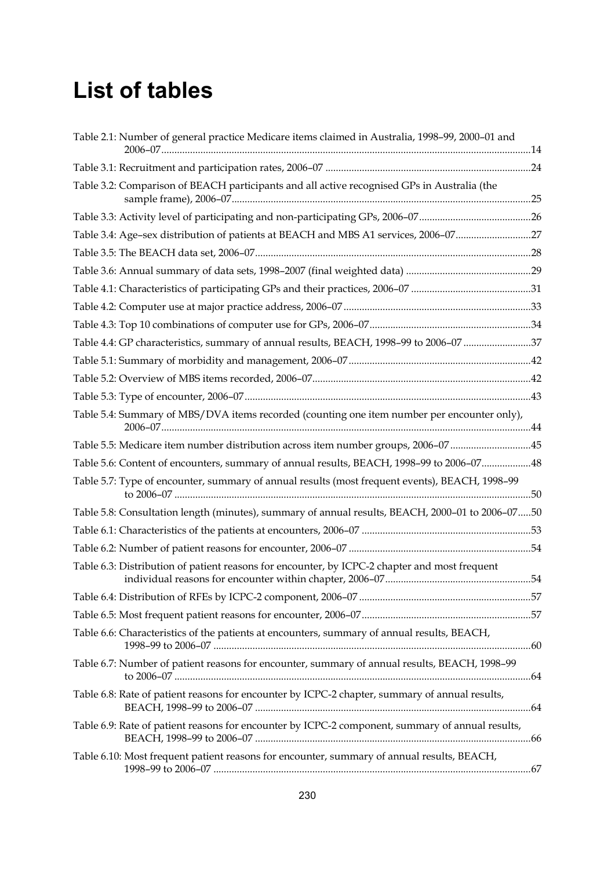## **List of tables**

| Table 2.1: Number of general practice Medicare items claimed in Australia, 1998-99, 2000-01 and  |  |
|--------------------------------------------------------------------------------------------------|--|
|                                                                                                  |  |
| Table 3.2: Comparison of BEACH participants and all active recognised GPs in Australia (the      |  |
|                                                                                                  |  |
| Table 3.4: Age-sex distribution of patients at BEACH and MBS A1 services, 2006-0727              |  |
|                                                                                                  |  |
|                                                                                                  |  |
|                                                                                                  |  |
|                                                                                                  |  |
|                                                                                                  |  |
| Table 4.4: GP characteristics, summary of annual results, BEACH, 1998-99 to 2006-07 37           |  |
|                                                                                                  |  |
|                                                                                                  |  |
|                                                                                                  |  |
| Table 5.4: Summary of MBS/DVA items recorded (counting one item number per encounter only),      |  |
| Table 5.5: Medicare item number distribution across item number groups, 2006-0745                |  |
| Table 5.6: Content of encounters, summary of annual results, BEACH, 1998-99 to 2006-0748         |  |
| Table 5.7: Type of encounter, summary of annual results (most frequent events), BEACH, 1998-99   |  |
| Table 5.8: Consultation length (minutes), summary of annual results, BEACH, 2000-01 to 2006-0750 |  |
|                                                                                                  |  |
|                                                                                                  |  |
| Table 6.3: Distribution of patient reasons for encounter, by ICPC-2 chapter and most frequent    |  |
|                                                                                                  |  |
|                                                                                                  |  |
| Table 6.6: Characteristics of the patients at encounters, summary of annual results, BEACH,      |  |
| Table 6.7: Number of patient reasons for encounter, summary of annual results, BEACH, 1998-99    |  |
| Table 6.8: Rate of patient reasons for encounter by ICPC-2 chapter, summary of annual results,   |  |
| Table 6.9: Rate of patient reasons for encounter by ICPC-2 component, summary of annual results, |  |
| Table 6.10: Most frequent patient reasons for encounter, summary of annual results, BEACH,       |  |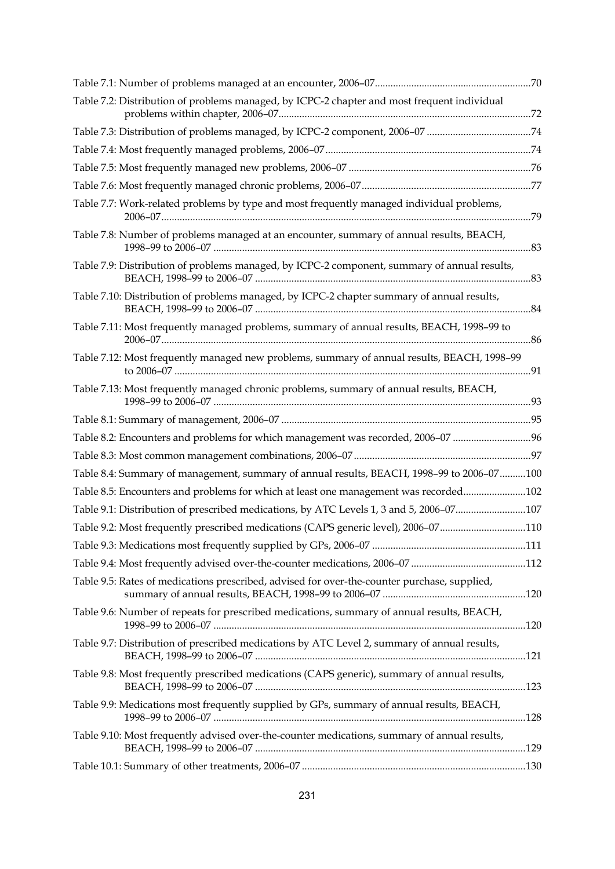| Table 7.2: Distribution of problems managed, by ICPC-2 chapter and most frequent individual  |  |
|----------------------------------------------------------------------------------------------|--|
| Table 7.3: Distribution of problems managed, by ICPC-2 component, 2006-07 74                 |  |
|                                                                                              |  |
|                                                                                              |  |
|                                                                                              |  |
| Table 7.7: Work-related problems by type and most frequently managed individual problems,    |  |
| Table 7.8: Number of problems managed at an encounter, summary of annual results, BEACH,     |  |
| Table 7.9: Distribution of problems managed, by ICPC-2 component, summary of annual results, |  |
| Table 7.10: Distribution of problems managed, by ICPC-2 chapter summary of annual results,   |  |
| Table 7.11: Most frequently managed problems, summary of annual results, BEACH, 1998-99 to   |  |
| Table 7.12: Most frequently managed new problems, summary of annual results, BEACH, 1998-99  |  |
| Table 7.13: Most frequently managed chronic problems, summary of annual results, BEACH,      |  |
|                                                                                              |  |
| Table 8.2: Encounters and problems for which management was recorded, 2006-07 96             |  |
|                                                                                              |  |
| Table 8.4: Summary of management, summary of annual results, BEACH, 1998-99 to 2006-07100    |  |
| Table 8.5: Encounters and problems for which at least one management was recorded102         |  |
| Table 9.1: Distribution of prescribed medications, by ATC Levels 1, 3 and 5, 2006-07107      |  |
| Table 9.2: Most frequently prescribed medications (CAPS generic level), 2006-07110           |  |
|                                                                                              |  |
|                                                                                              |  |
| Table 9.5: Rates of medications prescribed, advised for over-the-counter purchase, supplied, |  |
| Table 9.6: Number of repeats for prescribed medications, summary of annual results, BEACH,   |  |
| Table 9.7: Distribution of prescribed medications by ATC Level 2, summary of annual results, |  |
| Table 9.8: Most frequently prescribed medications (CAPS generic), summary of annual results, |  |
| Table 9.9: Medications most frequently supplied by GPs, summary of annual results, BEACH,    |  |
| Table 9.10: Most frequently advised over-the-counter medications, summary of annual results, |  |
|                                                                                              |  |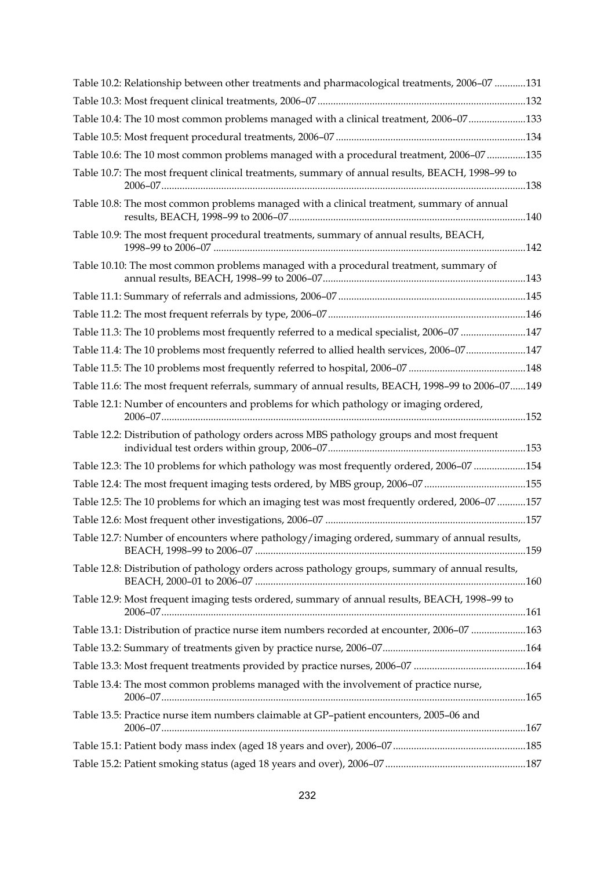| Table 10.2: Relationship between other treatments and pharmacological treatments, 2006-07 131    |  |
|--------------------------------------------------------------------------------------------------|--|
|                                                                                                  |  |
| Table 10.4: The 10 most common problems managed with a clinical treatment, 2006-07133            |  |
|                                                                                                  |  |
| Table 10.6: The 10 most common problems managed with a procedural treatment, 2006-07 135         |  |
| Table 10.7: The most frequent clinical treatments, summary of annual results, BEACH, 1998-99 to  |  |
| Table 10.8: The most common problems managed with a clinical treatment, summary of annual        |  |
| Table 10.9: The most frequent procedural treatments, summary of annual results, BEACH,           |  |
| Table 10.10: The most common problems managed with a procedural treatment, summary of            |  |
|                                                                                                  |  |
|                                                                                                  |  |
| Table 11.3: The 10 problems most frequently referred to a medical specialist, 2006-07 147        |  |
| Table 11.4: The 10 problems most frequently referred to allied health services, 2006-07147       |  |
|                                                                                                  |  |
| Table 11.6: The most frequent referrals, summary of annual results, BEACH, 1998-99 to 2006-07149 |  |
| Table 12.1: Number of encounters and problems for which pathology or imaging ordered,            |  |
| Table 12.2: Distribution of pathology orders across MBS pathology groups and most frequent       |  |
| Table 12.3: The 10 problems for which pathology was most frequently ordered, 2006-07 154         |  |
| Table 12.4: The most frequent imaging tests ordered, by MBS group, 2006-07 155                   |  |
| Table 12.5: The 10 problems for which an imaging test was most frequently ordered, 2006-07 157   |  |
|                                                                                                  |  |
| Table 12.7: Number of encounters where pathology/imaging ordered, summary of annual results,     |  |
| Table 12.8: Distribution of pathology orders across pathology groups, summary of annual results, |  |
| Table 12.9: Most frequent imaging tests ordered, summary of annual results, BEACH, 1998-99 to    |  |
| Table 13.1: Distribution of practice nurse item numbers recorded at encounter, 2006-07 163       |  |
|                                                                                                  |  |
|                                                                                                  |  |
| Table 13.4: The most common problems managed with the involvement of practice nurse,             |  |
| Table 13.5: Practice nurse item numbers claimable at GP-patient encounters, 2005-06 and          |  |
|                                                                                                  |  |
|                                                                                                  |  |